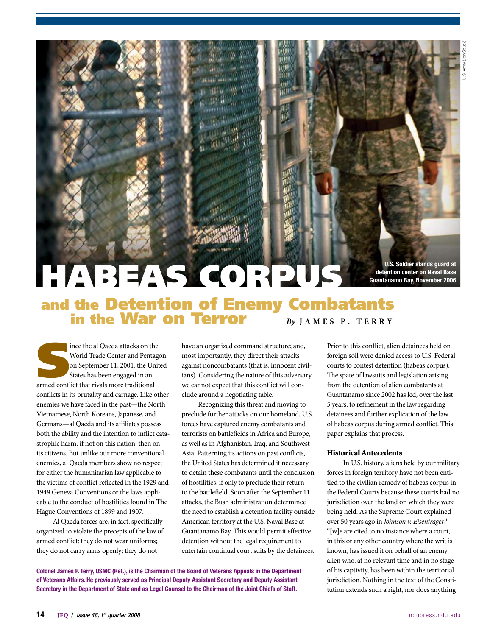HABEAS CORPUS U.S. Soldier stands guard at detention center on Naval Base Guantanamo Bay, November 2006

# and the Detention of Enemy Combatants **in the War on Terror** *By* JAMES P. TERRY

Fince the al Qaeda attacks on the World Trade Center and Pentagg on September 11, 2001, the Unit States has been engaged in an armed conflict that rivals more traditional World Trade Center and Pentagon on September 11, 2001, the United States has been engaged in an conflicts in its brutality and carnage. Like other enemies we have faced in the past—the North Vietnamese, North Koreans, Japanese, and Germans—al Qaeda and its affiliates possess both the ability and the intention to inflict catastrophic harm, if not on this nation, then on its citizens. But unlike our more conventional enemies, al Qaeda members show no respect for either the humanitarian law applicable to the victims of conflict reflected in the 1929 and 1949 Geneva Conventions or the laws applicable to the conduct of hostilities found in The Hague Conventions of 1899 and 1907.

Al Qaeda forces are, in fact, specifically organized to violate the precepts of the law of armed conflict: they do not wear uniforms; they do not carry arms openly; they do not

have an organized command structure; and, most importantly, they direct their attacks against noncombatants (that is, innocent civilians). Considering the nature of this adversary, we cannot expect that this conflict will conclude around a negotiating table.

Recognizing this threat and moving to preclude further attacks on our homeland, U.S. forces have captured enemy combatants and terrorists on battlefields in Africa and Europe, as well as in Afghanistan, Iraq, and Southwest Asia. Patterning its actions on past conflicts, the United States has determined it necessary to detain these combatants until the conclusion of hostilities, if only to preclude their return to the battlefield. Soon after the September 11 attacks, the Bush administration determined the need to establish a detention facility outside American territory at the U.S. Naval Base at Guantanamo Bay. This would permit effective detention without the legal requirement to entertain continual court suits by the detainees.

Colonel James P. Terry, USMC (Ret.), is the Chairman of the Board of Veterans Appeals in the Department of Veterans Affairs. He previously served as Principal Deputy Assistant Secretary and Deputy Assistant Secretary in the Department of State and as Legal Counsel to the Chairman of the Joint Chiefs of Staff.

Prior to this conflict, alien detainees held on foreign soil were denied access to U.S. Federal courts to contest detention (habeas corpus). The spate of lawsuits and legislation arising from the detention of alien combatants at Guantanamo since 2002 has led, over the last 5 years, to refinement in the law regarding detainees and further explication of the law of habeas corpus during armed conflict. This paper explains that process.

#### Historical Antecedents

In U.S. history, aliens held by our military forces in foreign territory have not been entitled to the civilian remedy of habeas corpus in the Federal Courts because these courts had no jurisdiction over the land on which they were being held. As the Supreme Court explained over 50 years ago in *Johnson v. Eisentrager*, 1 "[w]e are cited to no instance where a court, in this or any other country where the writ is known, has issued it on behalf of an enemy alien who, at no relevant time and in no stage of his captivity, has been within the territorial jurisdiction. Nothing in the text of the Constitution extends such a right, nor does anything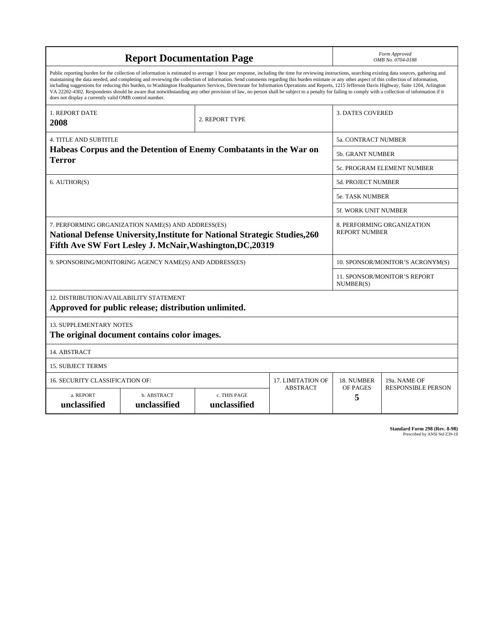| <b>Report Documentation Page</b>                                                                                                                                                                                                                                                                                                                                                                                                                                                                                                                                                                                                                                                                                                                                                                                                                                   |                             |                              |                 |                         | Form Approved<br>OMB No. 0704-0188                 |  |  |
|--------------------------------------------------------------------------------------------------------------------------------------------------------------------------------------------------------------------------------------------------------------------------------------------------------------------------------------------------------------------------------------------------------------------------------------------------------------------------------------------------------------------------------------------------------------------------------------------------------------------------------------------------------------------------------------------------------------------------------------------------------------------------------------------------------------------------------------------------------------------|-----------------------------|------------------------------|-----------------|-------------------------|----------------------------------------------------|--|--|
| Public reporting burden for the collection of information is estimated to average 1 hour per response, including the time for reviewing instructions, searching existing data sources, gathering and<br>maintaining the data needed, and completing and reviewing the collection of information. Send comments regarding this burden estimate or any other aspect of this collection of information,<br>including suggestions for reducing this burden, to Washington Headquarters Services, Directorate for Information Operations and Reports, 1215 Jefferson Davis Highway, Suite 1204, Arlington<br>VA 22202-4302. Respondents should be aware that notwithstanding any other provision of law, no person shall be subject to a penalty for failing to comply with a collection of information if it<br>does not display a currently valid OMB control number. |                             |                              |                 |                         |                                                    |  |  |
| <b>1. REPORT DATE</b><br>2008                                                                                                                                                                                                                                                                                                                                                                                                                                                                                                                                                                                                                                                                                                                                                                                                                                      |                             | 2. REPORT TYPE               |                 | <b>3. DATES COVERED</b> |                                                    |  |  |
| <b>4. TITLE AND SUBTITLE</b>                                                                                                                                                                                                                                                                                                                                                                                                                                                                                                                                                                                                                                                                                                                                                                                                                                       |                             |                              |                 |                         | 5a. CONTRACT NUMBER                                |  |  |
| Habeas Corpus and the Detention of Enemy Combatants in the War on                                                                                                                                                                                                                                                                                                                                                                                                                                                                                                                                                                                                                                                                                                                                                                                                  |                             |                              |                 |                         | <b>5b. GRANT NUMBER</b>                            |  |  |
| <b>Terror</b>                                                                                                                                                                                                                                                                                                                                                                                                                                                                                                                                                                                                                                                                                                                                                                                                                                                      |                             | 5c. PROGRAM ELEMENT NUMBER   |                 |                         |                                                    |  |  |
| 6. AUTHOR(S)                                                                                                                                                                                                                                                                                                                                                                                                                                                                                                                                                                                                                                                                                                                                                                                                                                                       |                             |                              |                 |                         | 5d. PROJECT NUMBER                                 |  |  |
|                                                                                                                                                                                                                                                                                                                                                                                                                                                                                                                                                                                                                                                                                                                                                                                                                                                                    |                             |                              |                 |                         | <b>5e. TASK NUMBER</b>                             |  |  |
|                                                                                                                                                                                                                                                                                                                                                                                                                                                                                                                                                                                                                                                                                                                                                                                                                                                                    |                             |                              |                 |                         | <b>5f. WORK UNIT NUMBER</b>                        |  |  |
| 7. PERFORMING ORGANIZATION NAME(S) AND ADDRESS(ES)<br>National Defense University, Institute for National Strategic Studies, 260<br>Fifth Ave SW Fort Lesley J. McNair, Washington, DC, 20319                                                                                                                                                                                                                                                                                                                                                                                                                                                                                                                                                                                                                                                                      |                             |                              |                 |                         | 8. PERFORMING ORGANIZATION<br><b>REPORT NUMBER</b> |  |  |
| 9. SPONSORING/MONITORING AGENCY NAME(S) AND ADDRESS(ES)                                                                                                                                                                                                                                                                                                                                                                                                                                                                                                                                                                                                                                                                                                                                                                                                            |                             |                              |                 |                         | 10. SPONSOR/MONITOR'S ACRONYM(S)                   |  |  |
|                                                                                                                                                                                                                                                                                                                                                                                                                                                                                                                                                                                                                                                                                                                                                                                                                                                                    |                             |                              |                 |                         | <b>11. SPONSOR/MONITOR'S REPORT</b><br>NUMBER(S)   |  |  |
| 12. DISTRIBUTION/AVAILABILITY STATEMENT<br>Approved for public release; distribution unlimited.                                                                                                                                                                                                                                                                                                                                                                                                                                                                                                                                                                                                                                                                                                                                                                    |                             |                              |                 |                         |                                                    |  |  |
| <b>13. SUPPLEMENTARY NOTES</b><br>The original document contains color images.                                                                                                                                                                                                                                                                                                                                                                                                                                                                                                                                                                                                                                                                                                                                                                                     |                             |                              |                 |                         |                                                    |  |  |
| 14. ABSTRACT                                                                                                                                                                                                                                                                                                                                                                                                                                                                                                                                                                                                                                                                                                                                                                                                                                                       |                             |                              |                 |                         |                                                    |  |  |
| <b>15. SUBJECT TERMS</b>                                                                                                                                                                                                                                                                                                                                                                                                                                                                                                                                                                                                                                                                                                                                                                                                                                           |                             |                              |                 |                         |                                                    |  |  |
| <b>16. SECURITY CLASSIFICATION OF:</b>                                                                                                                                                                                                                                                                                                                                                                                                                                                                                                                                                                                                                                                                                                                                                                                                                             | <b>17. LIMITATION OF</b>    | 18. NUMBER                   | 19a. NAME OF    |                         |                                                    |  |  |
| a. REPORT<br>unclassified                                                                                                                                                                                                                                                                                                                                                                                                                                                                                                                                                                                                                                                                                                                                                                                                                                          | b. ABSTRACT<br>unclassified | c. THIS PAGE<br>unclassified | <b>ABSTRACT</b> | OF PAGES<br>5           | <b>RESPONSIBLE PERSON</b>                          |  |  |

| <b>Standard Form 298 (Rev. 8-98)</b> |                               |  |  |
|--------------------------------------|-------------------------------|--|--|
|                                      | Prescribed by ANSI Std Z39-18 |  |  |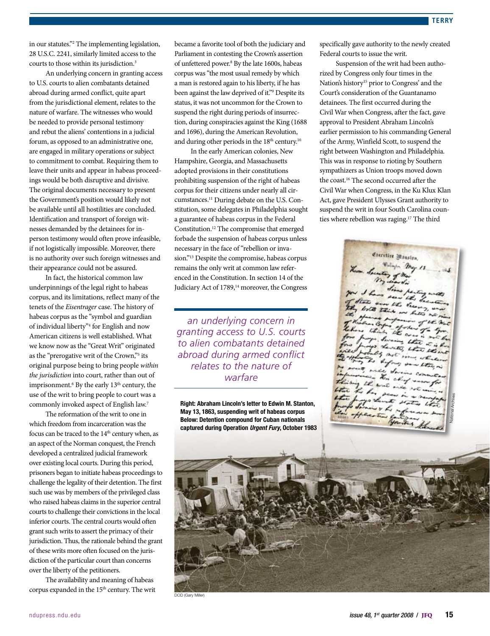in our statutes."2 The implementing legislation, 28 U.S.C. 2241, similarly limited access to the courts to those within its jurisdiction.<sup>3</sup>

An underlying concern in granting access to U.S. courts to alien combatants detained abroad during armed conflict, quite apart from the jurisdictional element, relates to the nature of warfare. The witnesses who would be needed to provide personal testimony and rebut the aliens' contentions in a judicial forum, as opposed to an administrative one, are engaged in military operations or subject to commitment to combat. Requiring them to leave their units and appear in habeas proceedings would be both disruptive and divisive. The original documents necessary to present the Government's position would likely not be available until all hostilities are concluded. Identification and transport of foreign witnesses demanded by the detainees for inperson testimony would often prove infeasible, if not logistically impossible. Moreover, there is no authority over such foreign witnesses and their appearance could not be assured.

In fact, the historical common law underpinnings of the legal right to habeas corpus, and its limitations, reflect many of the tenets of the *Eisentrager* case. The history of habeas corpus as the "symbol and guardian of individual liberty"4 for English and now American citizens is well established. What we know now as the "Great Writ" originated as the "prerogative writ of the Crown,"<sup>5</sup> its original purpose being to bring people *within the jurisdiction* into court, rather than out of imprisonment.<sup>6</sup> By the early 13<sup>th</sup> century, the use of the writ to bring people to court was a commonly invoked aspect of English law.7

The reformation of the writ to one in which freedom from incarceration was the focus can be traced to the  $14<sup>th</sup>$  century when, as an aspect of the Norman conquest, the French developed a centralized judicial framework over existing local courts. During this period, prisoners began to initiate habeas proceedings to challenge the legality of their detention. The first such use was by members of the privileged class who raised habeas claims in the superior central courts to challenge their convictions in the local inferior courts. The central courts would often grant such writs to assert the primacy of their jurisdiction. Thus, the rationale behind the grant of these writs more often focused on the jurisdiction of the particular court than concerns over the liberty of the petitioners.

The availability and meaning of habeas corpus expanded in the 15<sup>th</sup> century. The writ became a favorite tool of both the judiciary and Parliament in contesting the Crown's assertion of unfettered power.<sup>8</sup> By the late 1600s, habeas corpus was "the most usual remedy by which a man is restored again to his liberty, if he has been against the law deprived of it."9 Despite its status, it was not uncommon for the Crown to suspend the right during periods of insurrection, during conspiracies against the King (1688 and 1696), during the American Revolution, and during other periods in the 18<sup>th</sup> century.<sup>10</sup>

In the early American colonies, New Hampshire, Georgia, and Massachusetts adopted provisions in their constitutions prohibiting suspension of the right of habeas corpus for their citizens under nearly all circumstances.<sup>11</sup> During debate on the U.S. Constitution, some delegates in Philadelphia sought a guarantee of habeas corpus in the Federal Constitution.12 The compromise that emerged forbade the suspension of habeas corpus unless necessary in the face of "rebellion or invasion."13 Despite the compromise, habeas corpus remains the only writ at common law referenced in the Constitution. In section 14 of the Judiciary Act of 1789,<sup>14</sup> moreover, the Congress

*an underlying concern in granting access to U.S. courts to alien combatants detained abroad during armed conflict relates to the nature of warfare*

Right: Abraham Lincoln's letter to Edwin M. Stanton, May 13, 1863, suspending writ of habeas corpus Below: Detention compound for Cuban nationals captured during Operation *Urgent Fury*, October 1983

specifically gave authority to the newly created Federal courts to issue the writ.

Suspension of the writ had been authorized by Congress only four times in the Nation's history<sup>15</sup> prior to Congress' and the Court's consideration of the Guantanamo detainees. The first occurred during the Civil War when Congress, after the fact, gave approval to President Abraham Lincoln's earlier permission to his commanding General of the Army, Winfield Scott, to suspend the right between Washington and Philadelphia. This was in response to rioting by Southern sympathizers as Union troops moved down the coast.<sup>16</sup> The second occurred after the Civil War when Congress, in the Ku Klux Klan Act, gave President Ulysses Grant authority to suspend the writ in four South Carolina counties where rebellion was raging.<sup>17</sup> The third

Executive Mansion. National Archives



DOD (Gary Miller)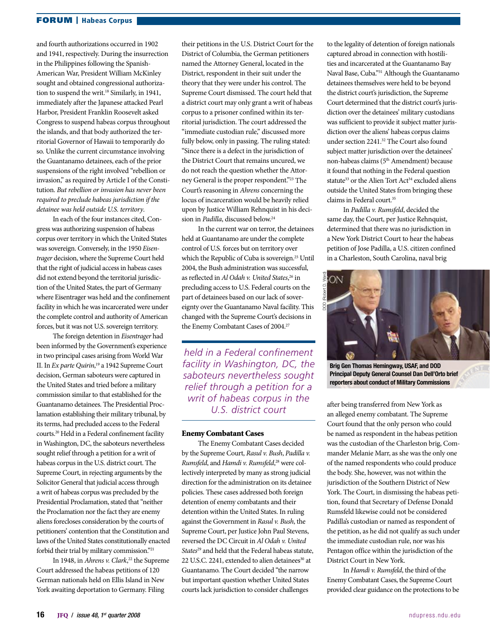# FORUM | Habeas Corpus

and fourth authorizations occurred in 1902 and 1941, respectively. During the insurrection in the Philippines following the Spanish-American War, President William McKinley sought and obtained congressional authorization to suspend the writ.<sup>18</sup> Similarly, in 1941, immediately after the Japanese attacked Pearl Harbor, President Franklin Roosevelt asked Congress to suspend habeas corpus throughout the islands, and that body authorized the territorial Governor of Hawaii to temporarily do so. Unlike the current circumstance involving the Guantanamo detainees, each of the prior suspensions of the right involved "rebellion or invasion," as required by Article I of the Constitution. *But rebellion or invasion has never been required to preclude habeas jurisdiction if the detainee was held outside U.S. territory*.

In each of the four instances cited, Congress was authorizing suspension of habeas corpus over territory in which the United States was sovereign. Conversely, in the 1950 *Eisentrager* decision, where the Supreme Court held that the right of judicial access in habeas cases did not extend beyond the territorial jurisdiction of the United States, the part of Germany where Eisentrager was held and the confinement facility in which he was incarcerated were under the complete control and authority of American forces, but it was not U.S. sovereign territory.

The foreign detention in *Eisentrager* had been informed by the Government's experience in two principal cases arising from World War II. In *Ex parte Quirin*, 19 a 1942 Supreme Court decision, German saboteurs were captured in the United States and tried before a military commission similar to that established for the Guantanamo detainees. The Presidential Proclamation establishing their military tribunal, by its terms, had precluded access to the Federal courts.20 Held in a Federal confinement facility in Washington, DC, the saboteurs nevertheless sought relief through a petition for a writ of habeas corpus in the U.S. district court. The Supreme Court, in rejecting arguments by the Solicitor General that judicial access through a writ of habeas corpus was precluded by the Presidential Proclamation, stated that "neither the Proclamation nor the fact they are enemy aliens forecloses consideration by the courts of petitioners' contention that the Constitution and laws of the United States constitutionally enacted forbid their trial by military commission."21

In 1948, in *Ahrens v. Clark*, 22 the Supreme Court addressed the habeas petitions of 120 German nationals held on Ellis Island in New York awaiting deportation to Germany. Filing

their petitions in the U.S. District Court for the District of Columbia, the German petitioners named the Attorney General, located in the District, respondent in their suit under the theory that they were under his control. The Supreme Court dismissed. The court held that a district court may only grant a writ of habeas corpus to a prisoner confined within its territorial jurisdiction. The court addressed the "immediate custodian rule," discussed more fully below, only in passing. The ruling stated: "Since there is a defect in the jurisdiction of the District Court that remains uncured, we do not reach the question whether the Attorney General is the proper respondent."23 The Court's reasoning in *Ahrens* concerning the locus of incarceration would be heavily relied upon by Justice William Rehnquist in his decision in *Padilla*, discussed below.<sup>24</sup>

In the current war on terror, the detainees held at Guantanamo are under the complete control of U.S. forces but on territory over which the Republic of Cuba is sovereign.25 Until 2004, the Bush administration was successful, as reflected in *Al Odah v. United States*, 26 in precluding access to U.S. Federal courts on the part of detainees based on our lack of sovereignty over the Guantanamo Naval facility. This changed with the Supreme Court's decisions in the Enemy Combatant Cases of 2004.<sup>27</sup>

*held in a Federal confinement facility in Washington, DC, the saboteurs nevertheless sought relief through a petition for a writ of habeas corpus in the U.S. district court*

#### Enemy Combatant Cases

The Enemy Combatant Cases decided by the Supreme Court, *Rasul v. Bush*, *Padilla v. Rumsfeld*, and *Hamdi v. Rumsfeld*, 28 were collectively interpreted by many as strong judicial direction for the administration on its detainee policies. These cases addressed both foreign detention of enemy combatants and their detention within the United States. In ruling against the Government in *Rasul v. Bush*, the Supreme Court, per Justice John Paul Stevens, reversed the DC Circuit in *Al Odah v. United States*29 and held that the Federal habeas statute, 22 U.S.C. 2241, extended to alien detainees<sup>30</sup> at Guantanamo. The Court decided "the narrow but important question whether United States courts lack jurisdiction to consider challenges

to the legality of detention of foreign nationals captured abroad in connection with hostilities and incarcerated at the Guantanamo Bay Naval Base, Cuba."31 Although the Guantanamo detainees themselves were held to be beyond the district court's jurisdiction, the Supreme Court determined that the district court's jurisdiction over the detainees' military custodians was sufficient to provide it subject matter jurisdiction over the aliens' habeas corpus claims under section 2241.32 The Court also found subject matter jurisdiction over the detainees' non-habeas claims (5th Amendment) because it found that nothing in the Federal question statute<sup>33</sup> or the Alien Tort Act<sup>34</sup> excluded aliens outside the United States from bringing these claims in Federal court.35

In *Padilla v. Rumsfeld*, decided the same day, the Court, per Justice Rehnquist, determined that there was no jurisdiction in a New York District Court to hear the habeas petition of Jose Padilla, a U.S. citizen confined in a Charleston, South Carolina, naval brig



Brig Gen Thomas Hemingway, USAF, and DOD Principal Deputy General Counsel Dan Dell'Orto brief reporters about conduct of Military Commissions

after being transferred from New York as an alleged enemy combatant. The Supreme Court found that the only person who could be named as respondent in the habeas petition was the custodian of the Charleston brig, Commander Melanie Marr, as she was the only one of the named respondents who could produce the body. She, however, was not within the jurisdiction of the Southern District of New York. The Court, in dismissing the habeas petition, found that Secretary of Defense Donald Rumsfeld likewise could not be considered Padilla's custodian or named as respondent of the petition, as he did not qualify as such under the immediate custodian rule, nor was his Pentagon office within the jurisdiction of the District Court in New York.

In *Hamdi v. Rumsfeld*, the third of the Enemy Combatant Cases, the Supreme Court provided clear guidance on the protections to be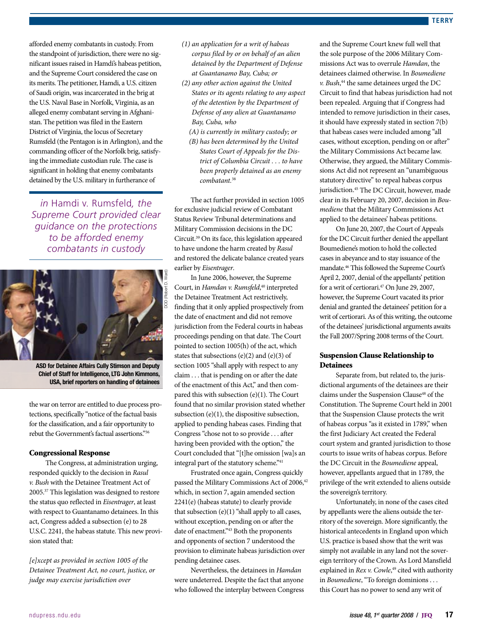afforded enemy combatants in custody. From the standpoint of jurisdiction, there were no significant issues raised in Hamdi's habeas petition, and the Supreme Court considered the case on its merits. The petitioner, Hamdi, a U.S. citizen of Saudi origin, was incarcerated in the brig at the U.S. Naval Base in Norfolk, Virginia, as an alleged enemy combatant serving in Afghanistan. The petition was filed in the Eastern District of Virginia, the locus of Secretary Rumsfeld (the Pentagon is in Arlington), and the commanding officer of the Norfolk brig, satisfying the immediate custodian rule. The case is significant in holding that enemy combatants detained by the U.S. military in furtherance of

*in* Hamdi v. Rumsfeld*, the Supreme Court provided clear guidance on the protections to be afforded enemy combatants in custody*



ASD for Detainee Affairs Cully Stimson and Deputy Chief of Staff for Intelligence, LTG John Kimmons, USA, brief reporters on handling of detainees

the war on terror are entitled to due process protections, specifically "notice of the factual basis for the classification, and a fair opportunity to rebut the Government's factual assertions."36

## Congressional Response

The Congress, at administration urging, responded quickly to the decision in *Rasul v. Bush* with the Detainee Treatment Act of 2005.37 This legislation was designed to restore the status quo reflected in *Eisentrager*, at least with respect to Guantanamo detainees. In this act, Congress added a subsection (e) to 28 U.S.C. 2241, the habeas statute. This new provision stated that:

*[e]xcept as provided in section 1005 of the Detainee Treatment Act, no court, justice, or judge may exercise jurisdiction over*

- *(1) an application for a writ of habeas corpus filed by or on behalf of an alien detained by the Department of Defense at Guantanamo Bay, Cuba; or*
- *(2) any other action against the United States or its agents relating to any aspect of the detention by the Department of Defense of any alien at Guantanamo Bay, Cuba, who*
	- *(A) is currently in military custody; or*
	- *(B) has been determined by the United States Court of Appeals for the District of Columbia Circuit . . . to have been properly detained as an enemy combatant.*<sup>38</sup>

The act further provided in section 1005 for exclusive judicial review of Combatant Status Review Tribunal determinations and Military Commission decisions in the DC Circuit.39 On its face, this legislation appeared to have undone the harm created by *Rasul* and restored the delicate balance created years earlier by *Eisentrager*.

In June 2006, however, the Supreme Court, in *Hamdan v. Rumsfeld*, 40 interpreted the Detainee Treatment Act restrictively, finding that it only applied prospectively from the date of enactment and did not remove jurisdiction from the Federal courts in habeas proceedings pending on that date. The Court pointed to section 1005(h) of the act, which states that subsections  $(e)(2)$  and  $(e)(3)$  of section 1005 "shall apply with respect to any claim . . . that is pending on or after the date of the enactment of this Act," and then compared this with subsection (e)(1). The Court found that no similar provision stated whether subsection (e)(1), the dispositive subsection, applied to pending habeas cases. Finding that Congress "chose not to so provide . . . after having been provided with the option," the Court concluded that "[t]he omission [wa]s an integral part of the statutory scheme."<sup>41</sup>

Frustrated once again, Congress quickly passed the Military Commissions Act of 2006,<sup>42</sup> which, in section 7, again amended section 2241(e) (habeas statute) to clearly provide that subsection (e)(1) "shall apply to all cases, without exception, pending on or after the date of enactment."43 Both the proponents and opponents of section 7 understood the provision to eliminate habeas jurisdiction over pending detainee cases.

Nevertheless, the detainees in *Hamdan* were undeterred. Despite the fact that anyone who followed the interplay between Congress and the Supreme Court knew full well that the sole purpose of the 2006 Military Commissions Act was to overrule *Hamdan*, the detainees claimed otherwise. In *Boumediene v. Bush*, 44 the same detainees urged the DC Circuit to find that habeas jurisdiction had not been repealed. Arguing that if Congress had intended to remove jurisdiction in their cases, it should have expressly stated in section 7(b) that habeas cases were included among "all cases, without exception, pending on or after" the Military Commissions Act became law. Otherwise, they argued, the Military Commissions Act did not represent an "unambiguous statutory directive" to repeal habeas corpus jurisdiction.<sup>45</sup> The DC Circuit, however, made clear in its February 20, 2007, decision in *Boumediene* that the Military Commissions Act applied to the detainees' habeas petitions.

On June 20, 2007, the Court of Appeals for the DC Circuit further denied the appellant Boumediene's motion to hold the collected cases in abeyance and to stay issuance of the mandate.46 This followed the Supreme Court's April 2, 2007, denial of the appellants' petition for a writ of certiorari.<sup>47</sup> On June 29, 2007, however, the Supreme Court vacated its prior denial and granted the detainees' petition for a writ of certiorari. As of this writing, the outcome of the detainees' jurisdictional arguments awaits the Fall 2007/Spring 2008 terms of the Court.

# Suspension Clause Relationship to **Detainees**

Separate from, but related to, the jurisdictional arguments of the detainees are their claims under the Suspension Clause<sup>48</sup> of the Constitution. The Supreme Court held in 2001 that the Suspension Clause protects the writ of habeas corpus "as it existed in 1789," when the first Judiciary Act created the Federal court system and granted jurisdiction to those courts to issue writs of habeas corpus. Before the DC Circuit in the *Boumediene* appeal, however, appellants argued that in 1789, the privilege of the writ extended to aliens outside the sovereign's territory.

Unfortunately, in none of the cases cited by appellants were the aliens outside the territory of the sovereign. More significantly, the historical antecedents in England upon which U.S. practice is based show that the writ was simply not available in any land not the sovereign territory of the Crown. As Lord Mansfield explained in *Rex v. Cowle*, 49 cited with authority in *Boumediene*, "To foreign dominions . . . this Court has no power to send any writ of